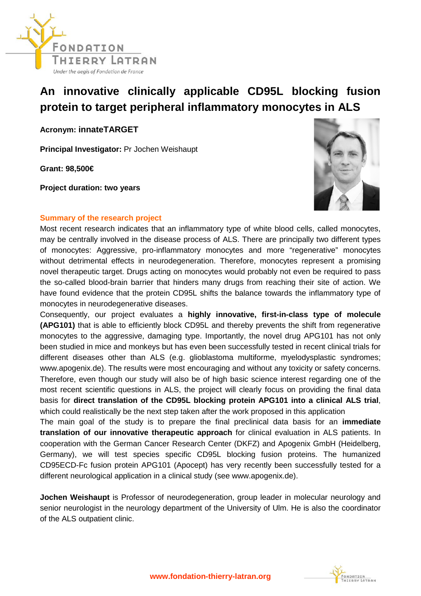

## **An innovative clinically applicable CD95L blocking fusion protein to target peripheral inflammatory monocytes in ALS**

**Acronym: innateTARGET**

**Principal Investigator:** Pr Jochen Weishaupt

**Grant: 98,500€** 

**Project duration: two years**



## **Summary of the research project**

Most recent research indicates that an inflammatory type of white blood cells, called monocytes, may be centrally involved in the disease process of ALS. There are principally two different types of monocytes: Aggressive, pro-inflammatory monocytes and more "regenerative" monocytes without detrimental effects in neurodegeneration. Therefore, monocytes represent a promising novel therapeutic target. Drugs acting on monocytes would probably not even be required to pass the so-called blood-brain barrier that hinders many drugs from reaching their site of action. We have found evidence that the protein CD95L shifts the balance towards the inflammatory type of monocytes in neurodegenerative diseases.

Consequently, our project evaluates a **highly innovative, first-in-class type of molecule (APG101)** that is able to efficiently block CD95L and thereby prevents the shift from regenerative monocytes to the aggressive, damaging type. Importantly, the novel drug APG101 has not only been studied in mice and monkeys but has even been successfully tested in recent clinical trials for different diseases other than ALS (e.g. glioblastoma multiforme, myelodysplastic syndromes; www.apogenix.de). The results were most encouraging and without any toxicity or safety concerns. Therefore, even though our study will also be of high basic science interest regarding one of the most recent scientific questions in ALS, the project will clearly focus on providing the final data basis for **direct translation of the CD95L blocking protein APG101 into a clinical ALS trial**, which could realistically be the next step taken after the work proposed in this application

The main goal of the study is to prepare the final preclinical data basis for an **immediate translation of our innovative therapeutic approach** for clinical evaluation in ALS patients. In cooperation with the German Cancer Research Center (DKFZ) and Apogenix GmbH (Heidelberg, Germany), we will test species specific CD95L blocking fusion proteins. The humanized CD95ECD-Fc fusion protein APG101 (Apocept) has very recently been successfully tested for a different neurological application in a clinical study (see www.apogenix.de).

**Jochen Weishaupt** is Professor of neurodegeneration, group leader in molecular neurology and senior neurologist in the neurology department of the University of Ulm. He is also the coordinator of the ALS outpatient clinic.